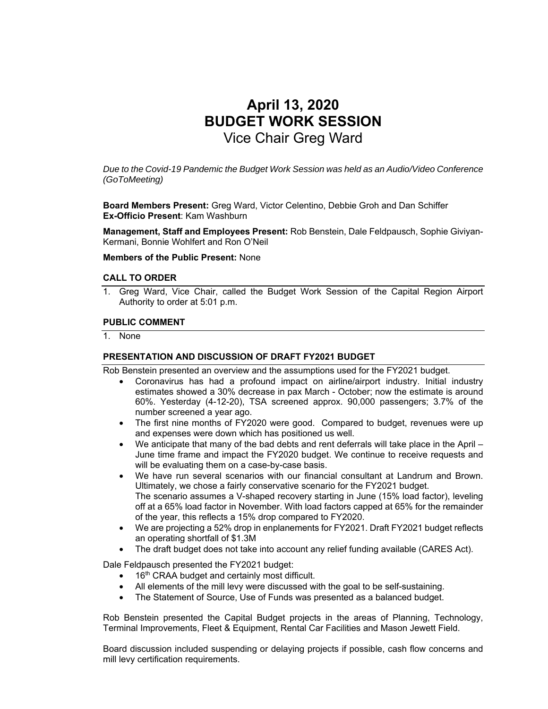# **April 13, 2020 BUDGET WORK SESSION**  Vice Chair Greg Ward

*Due to the Covid-19 Pandemic the Budget Work Session was held as an Audio/Video Conference (GoToMeeting)* 

**Board Members Present:** Greg Ward, Victor Celentino, Debbie Groh and Dan Schiffer **Ex-Officio Present**: Kam Washburn

**Management, Staff and Employees Present:** Rob Benstein, Dale Feldpausch, Sophie Giviyan-Kermani, Bonnie Wohlfert and Ron O'Neil

**Members of the Public Present:** None

#### **CALL TO ORDER**

1. Greg Ward, Vice Chair, called the Budget Work Session of the Capital Region Airport Authority to order at 5:01 p.m.

#### **PUBLIC COMMENT**

1. None

#### **PRESENTATION AND DISCUSSION OF DRAFT FY2021 BUDGET**

Rob Benstein presented an overview and the assumptions used for the FY2021 budget.

- Coronavirus has had a profound impact on airline/airport industry. Initial industry estimates showed a 30% decrease in pax March - October; now the estimate is around 60%. Yesterday (4-12-20), TSA screened approx. 90,000 passengers; 3.7% of the number screened a year ago.
- The first nine months of FY2020 were good. Compared to budget, revenues were up and expenses were down which has positioned us well.
- We anticipate that many of the bad debts and rent deferrals will take place in the April June time frame and impact the FY2020 budget. We continue to receive requests and will be evaluating them on a case-by-case basis.
- We have run several scenarios with our financial consultant at Landrum and Brown. Ultimately, we chose a fairly conservative scenario for the FY2021 budget. The scenario assumes a V-shaped recovery starting in June (15% load factor), leveling off at a 65% load factor in November. With load factors capped at 65% for the remainder of the year, this reflects a 15% drop compared to FY2020.
- We are projecting a 52% drop in enplanements for FY2021. Draft FY2021 budget reflects an operating shortfall of \$1.3M
- The draft budget does not take into account any relief funding available (CARES Act).

Dale Feldpausch presented the FY2021 budget:

- 16<sup>th</sup> CRAA budget and certainly most difficult.
- All elements of the mill levy were discussed with the goal to be self-sustaining.<br>• The Statement of Source. Use of Funds was presented as a balanced budget
- The Statement of Source, Use of Funds was presented as a balanced budget.

Rob Benstein presented the Capital Budget projects in the areas of Planning, Technology, Terminal Improvements, Fleet & Equipment, Rental Car Facilities and Mason Jewett Field.

Board discussion included suspending or delaying projects if possible, cash flow concerns and mill levy certification requirements.